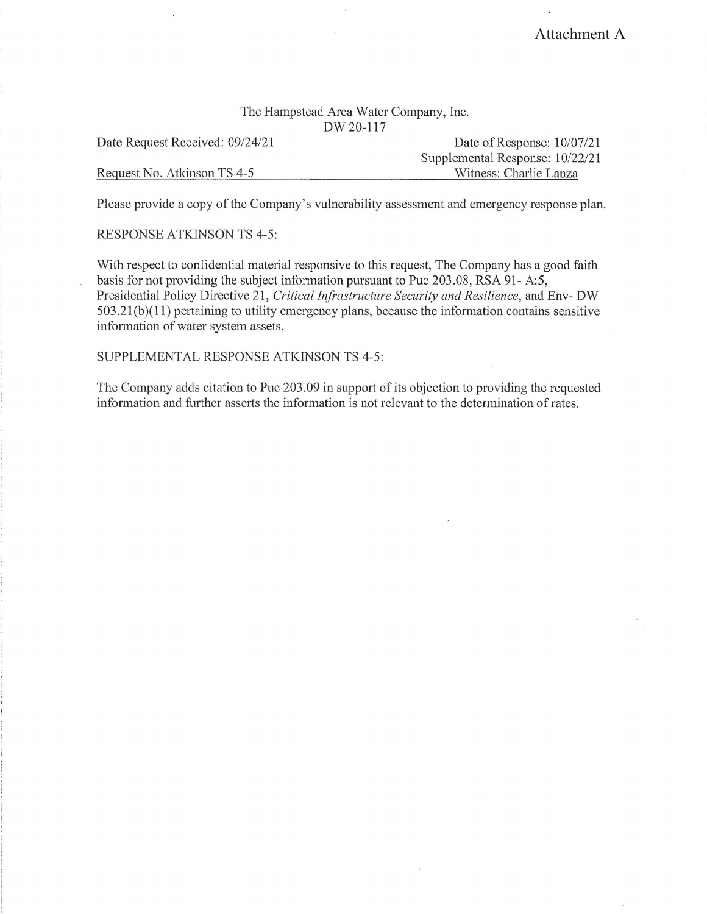## The Hampstead Area Water Company, Inc. DW20-117

Date Request Received: 09/24/21

Request No. Atkinson TS 4-5

Date of Response: 10/07/21 Supplemental Response: 10/22/21 Witness: Charlie Lanza

Please provide a copy of the Company's vulnerability assessment and emergency response plan.

RESPONSE ATKINSON TS 4-5:

With respect to confidential material responsive to this request, The Company has a good faith basis for not providing the subject information pursuant to Puc 203.08, RSA 91- A:5, Presidential Policy Directive 21, *Critical Infrastructure Security and Resilience,* and Env- DW  $503.21(b)(11)$  pertaining to utility emergency plans, because the information contains sensitive information of water system assets.

SUPPLEMENTAL RESPONSE ATKINSON TS 4-5:

The Company adds citation to Puc 203.09 in support of its objection to providing the requested information and further asserts the information is not relevant to the determination of rates.